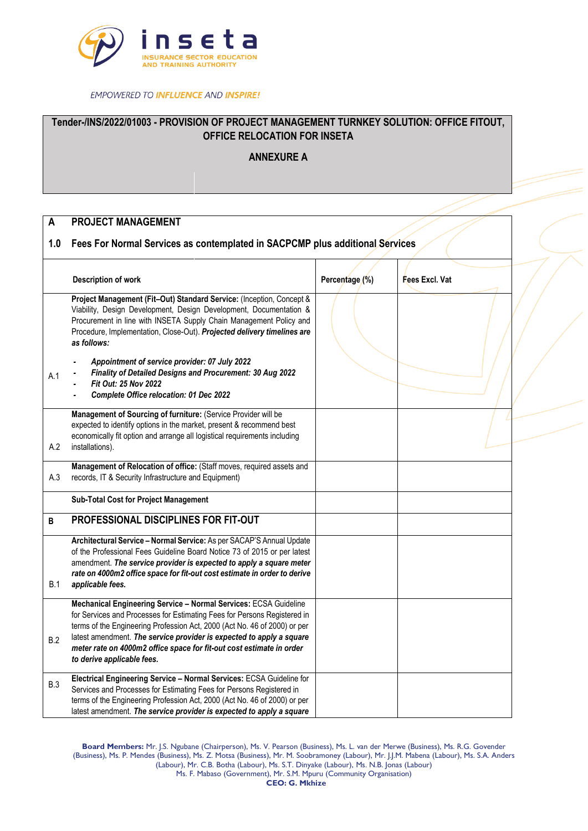

**EMPOWERED TO INFLUENCE AND INSPIRE!** 

## **Tender-/INS/2022/01003 - PROVISION OF PROJECT MANAGEMENT TURNKEY SOLUTION: OFFICE FITOUT, OFFICE RELOCATION FOR INSETA**

**ANNEXURE A**

## **A PROJECT MANAGEMENT**

## **1.0 Fees For Normal Services as contemplated in SACPCMP plus additional Services**

|            | Description of work                                                                                                                                                                                                                                                                                                                                                       | Percentage (%) | Fees Excl. Vat |  |
|------------|---------------------------------------------------------------------------------------------------------------------------------------------------------------------------------------------------------------------------------------------------------------------------------------------------------------------------------------------------------------------------|----------------|----------------|--|
|            | Project Management (Fit-Out) Standard Service: (Inception, Concept &<br>Viability, Design Development, Design Development, Documentation &<br>Procurement in line with INSETA Supply Chain Management Policy and<br>Procedure, Implementation, Close-Out). Projected delivery timelines are<br>as follows:                                                                |                |                |  |
| A.1        | Appointment of service provider: 07 July 2022<br>Finality of Detailed Designs and Procurement: 30 Aug 2022<br>Fit Out: 25 Nov 2022<br>Complete Office relocation: 01 Dec 2022                                                                                                                                                                                             |                |                |  |
| A.2        | Management of Sourcing of furniture: (Service Provider will be<br>expected to identify options in the market, present & recommend best<br>economically fit option and arrange all logistical requirements including<br>installations).                                                                                                                                    |                |                |  |
| A.3        | Management of Relocation of office: (Staff moves, required assets and<br>records, IT & Security Infrastructure and Equipment)                                                                                                                                                                                                                                             |                |                |  |
|            | <b>Sub-Total Cost for Project Management</b>                                                                                                                                                                                                                                                                                                                              |                |                |  |
| B          | PROFESSIONAL DISCIPLINES FOR FIT-OUT                                                                                                                                                                                                                                                                                                                                      |                |                |  |
| B.1        | Architectural Service - Normal Service: As per SACAP'S Annual Update<br>of the Professional Fees Guideline Board Notice 73 of 2015 or per latest<br>amendment. The service provider is expected to apply a square meter<br>rate on 4000m2 office space for fit-out cost estimate in order to derive<br>applicable fees.                                                   |                |                |  |
| B.2        | Mechanical Engineering Service - Normal Services: ECSA Guideline<br>for Services and Processes for Estimating Fees for Persons Registered in<br>terms of the Engineering Profession Act, 2000 (Act No. 46 of 2000) or per<br>latest amendment. The service provider is expected to apply a square<br>meter rate on 4000m2 office space for fit-out cost estimate in order |                |                |  |
|            | to derive applicable fees.                                                                                                                                                                                                                                                                                                                                                |                |                |  |
| <b>B.3</b> | Electrical Engineering Service - Normal Services: ECSA Guideline for<br>Services and Processes for Estimating Fees for Persons Registered in<br>terms of the Engineering Profession Act, 2000 (Act No. 46 of 2000) or per<br>latest amendment. The service provider is expected to apply a square                                                                         |                |                |  |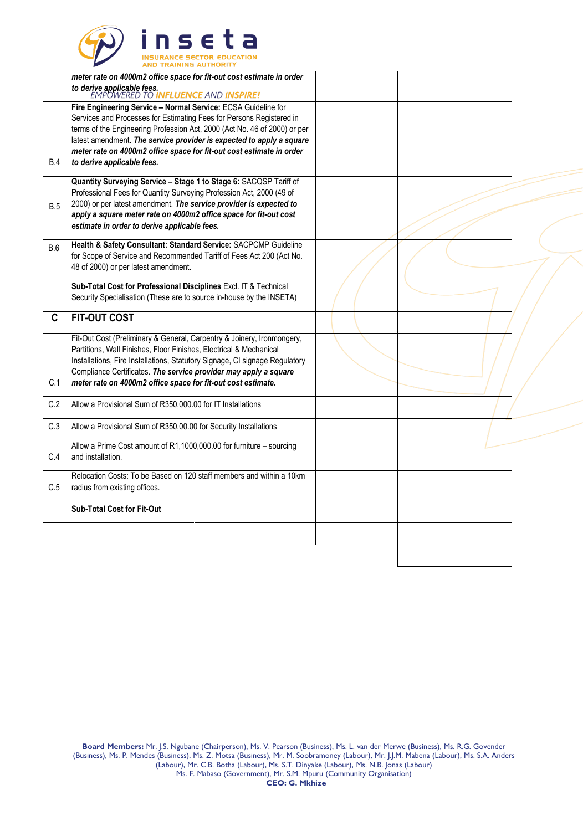

|            | meter rate on 4000m2 office space for fit-out cost estimate in order<br>to derive applicable fees.<br>EMPOWERED TO INFLUENCE AND INSPIRE!                                                                                                                                                                                                                                                        |  |  |
|------------|--------------------------------------------------------------------------------------------------------------------------------------------------------------------------------------------------------------------------------------------------------------------------------------------------------------------------------------------------------------------------------------------------|--|--|
| <b>B.4</b> | Fire Engineering Service - Normal Service: ECSA Guideline for<br>Services and Processes for Estimating Fees for Persons Registered in<br>terms of the Engineering Profession Act, 2000 (Act No. 46 of 2000) or per<br>latest amendment. The service provider is expected to apply a square<br>meter rate on 4000m2 office space for fit-out cost estimate in order<br>to derive applicable fees. |  |  |
| B.5        | Quantity Surveying Service - Stage 1 to Stage 6: SACQSP Tariff of<br>Professional Fees for Quantity Surveying Profession Act, 2000 (49 of<br>2000) or per latest amendment. The service provider is expected to<br>apply a square meter rate on 4000m2 office space for fit-out cost<br>estimate in order to derive applicable fees.                                                             |  |  |
| B.6        | Health & Safety Consultant: Standard Service: SACPCMP Guideline<br>for Scope of Service and Recommended Tariff of Fees Act 200 (Act No.<br>48 of 2000) or per latest amendment.                                                                                                                                                                                                                  |  |  |
|            | Sub-Total Cost for Professional Disciplines Excl. IT & Technical<br>Security Specialisation (These are to source in-house by the INSETA)                                                                                                                                                                                                                                                         |  |  |
| C          | <b>FIT-OUT COST</b>                                                                                                                                                                                                                                                                                                                                                                              |  |  |
| C.1        | Fit-Out Cost (Preliminary & General, Carpentry & Joinery, Ironmongery,<br>Partitions, Wall Finishes, Floor Finishes, Electrical & Mechanical<br>Installations, Fire Installations, Statutory Signage, CI signage Regulatory<br>Compliance Certificates. The service provider may apply a square<br>meter rate on 4000m2 office space for fit-out cost estimate.                                  |  |  |
| C.2        | Allow a Provisional Sum of R350,000.00 for IT Installations                                                                                                                                                                                                                                                                                                                                      |  |  |
| C.3        | Allow a Provisional Sum of R350,00.00 for Security Installations                                                                                                                                                                                                                                                                                                                                 |  |  |
| C.4        | Allow a Prime Cost amount of R1,1000,000.00 for furniture - sourcing<br>and installation.                                                                                                                                                                                                                                                                                                        |  |  |
| C.5        | Relocation Costs: To be Based on 120 staff members and within a 10km<br>radius from existing offices.                                                                                                                                                                                                                                                                                            |  |  |
|            | <b>Sub-Total Cost for Fit-Out</b>                                                                                                                                                                                                                                                                                                                                                                |  |  |
|            |                                                                                                                                                                                                                                                                                                                                                                                                  |  |  |
|            |                                                                                                                                                                                                                                                                                                                                                                                                  |  |  |
|            |                                                                                                                                                                                                                                                                                                                                                                                                  |  |  |